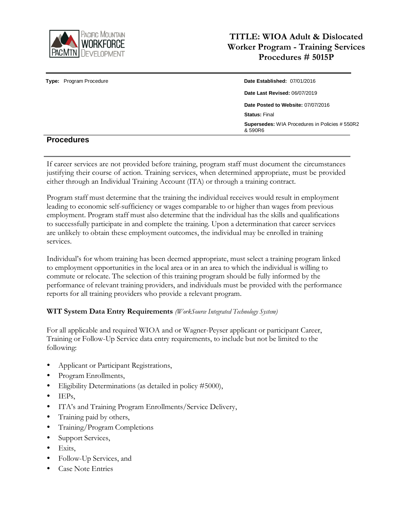

|                         | <b>Supersedes:</b> WIA Procedures in Policies # 550R2<br>& 590R6 |  |
|-------------------------|------------------------------------------------------------------|--|
|                         | <b>Status: Final</b>                                             |  |
|                         | Date Posted to Website: 07/07/2016                               |  |
|                         | <b>Date Last Revised: 06/07/2019</b>                             |  |
| Type: Program Procedure | Date Established: 07/01/2016                                     |  |

## **Procedures**

If career services are not provided before training, program staff must document the circumstances justifying their course of action. Training services, when determined appropriate, must be provided either through an Individual Training Account (ITA) or through a training contract.

Program staff must determine that the training the individual receives would result in employment leading to economic self-sufficiency or wages comparable to or higher than wages from previous employment. Program staff must also determine that the individual has the skills and qualifications to successfully participate in and complete the training. Upon a determination that career services are unlikely to obtain these employment outcomes, the individual may be enrolled in training services.

Individual's for whom training has been deemed appropriate, must select a training program linked to employment opportunities in the local area or in an area to which the individual is willing to commute or relocate. The selection of this training program should be fully informed by the performance of relevant training providers, and individuals must be provided with the performance reports for all training providers who provide a relevant program.

### **WIT System Data Entry Requirements** *(WorkSource Integrated Technology System)*

For all applicable and required WIOA and or Wagner-Peyser applicant or participant Career, Training or Follow-Up Service data entry requirements, to include but not be limited to the following:

- Applicant or Participant Registrations,
- Program Enrollments,
- Eligibility Determinations (as detailed in policy #5000),
- $\bullet$  IEPs.
- ITA's and Training Program Enrollments/Service Delivery,
- Training paid by others,
- Training/Program Completions
- Support Services,
- Exits,
- Follow-Up Services, and
- Case Note Entries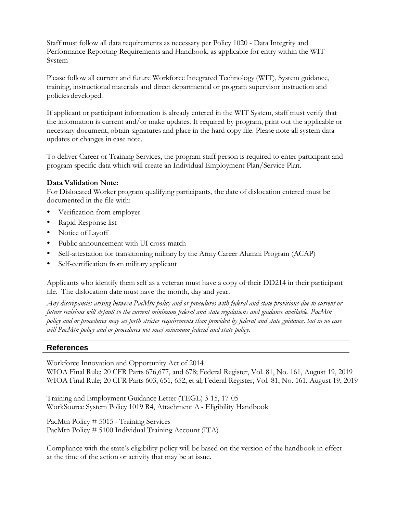Staff must follow all data requirements as necessary per Policy 1020 - Data Integrity and Performance Reporting Requirements and Handbook, as applicable for entry within the WIT System

Please follow all current and future Workforce Integrated Technology (WIT), System guidance, training, instructional materials and direct departmental or program supervisor instruction and policies developed.

If applicant or participant information is already entered in the WIT System, staff must verify that the information is current and/or make updates. If required by program, print out the applicable or necessary document, obtain signatures and place in the hard copy file. Please note all system data updates or changes in case note.

To deliver Career or Training Services, the program staff person is required to enter participant and program specific data which will create an Individual Employment Plan/Service Plan.

#### **Data Validation Note:**

For Dislocated Worker program qualifying participants, the date of dislocation entered must be documented in the file with:

- Verification from employer
- Rapid Response list
- Notice of Layoff
- Public announcement with UI cross-match
- Self-attestation for transitioning military by the Army Career Alumni Program (ACAP)
- Self-certification from military applicant

Applicants who identify them self as a veteran must have a copy of their DD214 in their participant file. The dislocation date must have the month, day and year.

Any discrepancies arising between PacMtn policy and or procedures with federal and state provisions due to current or *future revisions will default to the current minimum federal and state regulations and guidance available. PacMtn* policy and or procedures may set forth stricter requirements than provided by federal and state guidance, but in no case *will PacMtn policy and or procedures not meet minimum federal and state policy.*

#### **References**

Workforce Innovation and Opportunity Act of 2014 WIOA Final Rule; 20 CFR Parts 676,677, and 678; Federal Register, Vol. 81, No. 161, August 19, 2019 WIOA Final Rule; 20 CFR Parts 603, 651, 652, et al; Federal Register, Vol. 81, No. 161, August 19, 2019

Training and Employment Guidance Letter (TEGL) 3-15, 17-05 WorkSource System Policy 1019 R4, Attachment A - Eligibility Handbook

PacMtn Policy # 5015 - Training Services PacMtn Policy # 5100 Individual Training Account (ITA)

Compliance with the state's eligibility policy will be based on the version of the handbook in effect at the time of the action or activity that may be at issue.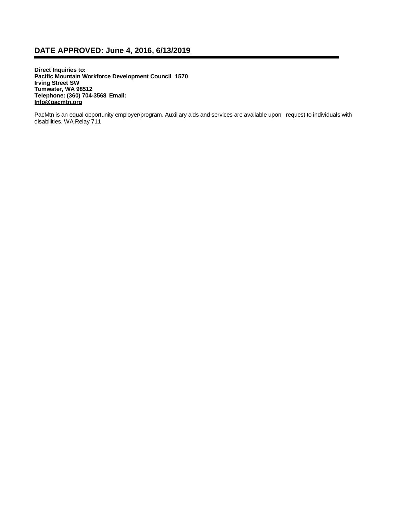## **DATE APPROVED: June 4, 2016, 6/13/2019**

**Direct Inquiries to: Pacific Mountain Workforce Development Council 1570 Irving Street SW Tumwater, WA 98512 Telephone: (360) 704-3568 Email: [Info@pacmtn.org](mailto:Info@pacmtn.org)**

PacMtn is an equal opportunity employer/program. Auxiliary aids and services are available upon request to individuals with disabilities. WA Relay 711